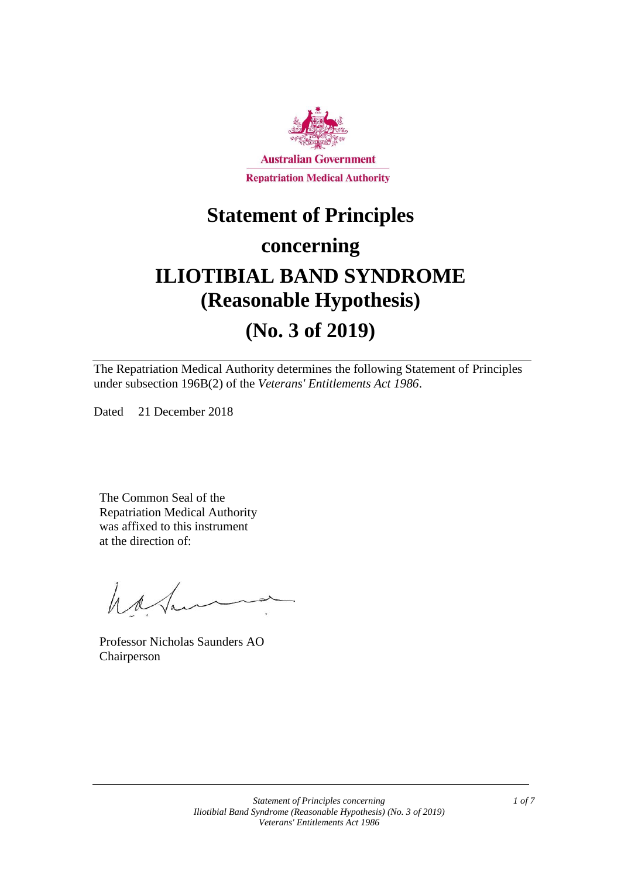

# **Statement of Principles concerning ILIOTIBIAL BAND SYNDROME (Reasonable Hypothesis)**

# **(No. 3 of 2019)**

The Repatriation Medical Authority determines the following Statement of Principles under subsection 196B(2) of the *Veterans' Entitlements Act 1986*.

Dated 21 December 2018

The Common Seal of the Repatriation Medical Authority was affixed to this instrument at the direction of:

hatan

Professor Nicholas Saunders AO Chairperson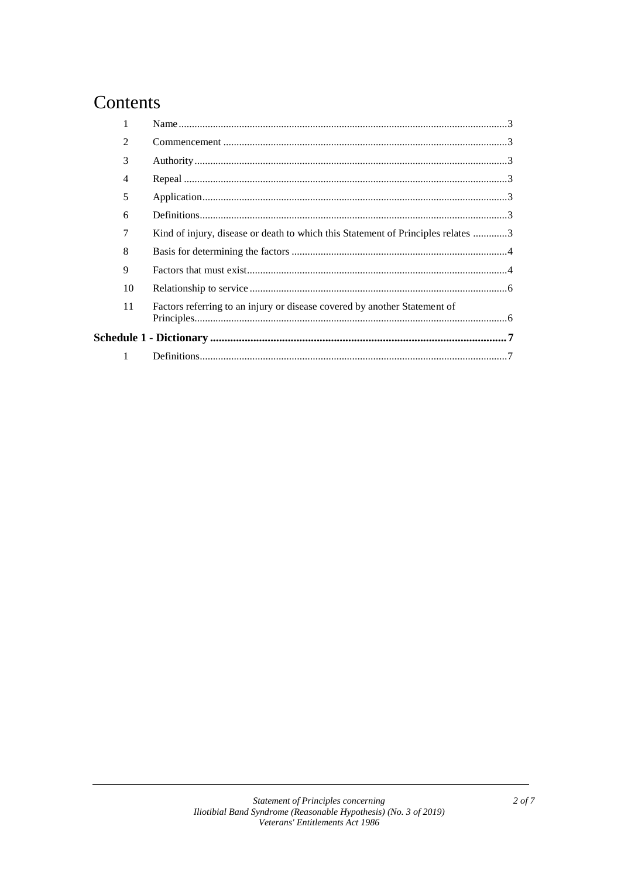# Contents

|  | $\mathfrak{D}$ |                                                                                  |
|--|----------------|----------------------------------------------------------------------------------|
|  | 3              |                                                                                  |
|  | 4              |                                                                                  |
|  | 5              |                                                                                  |
|  | 6              |                                                                                  |
|  | 7              | Kind of injury, disease or death to which this Statement of Principles relates 3 |
|  | 8              |                                                                                  |
|  | 9              |                                                                                  |
|  | 10             |                                                                                  |
|  | 11             | Factors referring to an injury or disease covered by another Statement of        |
|  |                |                                                                                  |
|  |                |                                                                                  |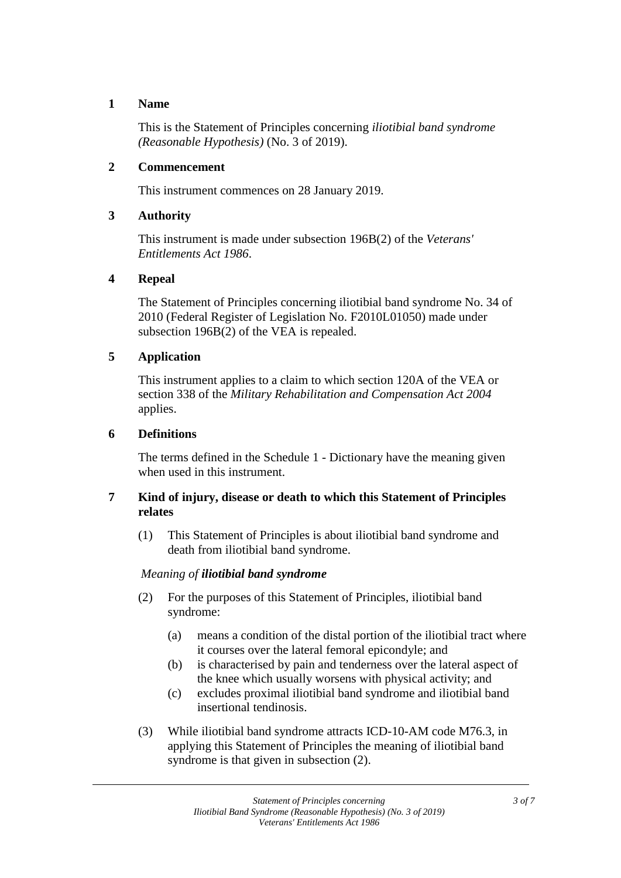### **1 Name**

This is the Statement of Principles concerning *iliotibial band syndrome (Reasonable Hypothesis)* (No. 3 of 2019).

### **2 Commencement**

This instrument commences on 28 January 2019.

### **3 Authority**

This instrument is made under subsection 196B(2) of the *Veterans' Entitlements Act 1986*.

#### **4 Repeal**

The Statement of Principles concerning iliotibial band syndrome No. 34 of 2010 (Federal Register of Legislation No. F2010L01050) made under subsection 196B(2) of the VEA is repealed.

# **5 Application**

This instrument applies to a claim to which section 120A of the VEA or section 338 of the *Military Rehabilitation and Compensation Act 2004* applies.

# **6 Definitions**

The terms defined in the Schedule 1 - Dictionary have the meaning given when used in this instrument.

# **7 Kind of injury, disease or death to which this Statement of Principles relates**

(1) This Statement of Principles is about iliotibial band syndrome and death from iliotibial band syndrome.

# *Meaning of iliotibial band syndrome*

- (2) For the purposes of this Statement of Principles, iliotibial band syndrome:
	- (a) means a condition of the distal portion of the iliotibial tract where it courses over the lateral femoral epicondyle; and
	- (b) is characterised by pain and tenderness over the lateral aspect of the knee which usually worsens with physical activity; and
	- (c) excludes proximal iliotibial band syndrome and iliotibial band insertional tendinosis.
- (3) While iliotibial band syndrome attracts ICD-10-AM code M76.3, in applying this Statement of Principles the meaning of iliotibial band syndrome is that given in subsection  $(2)$ .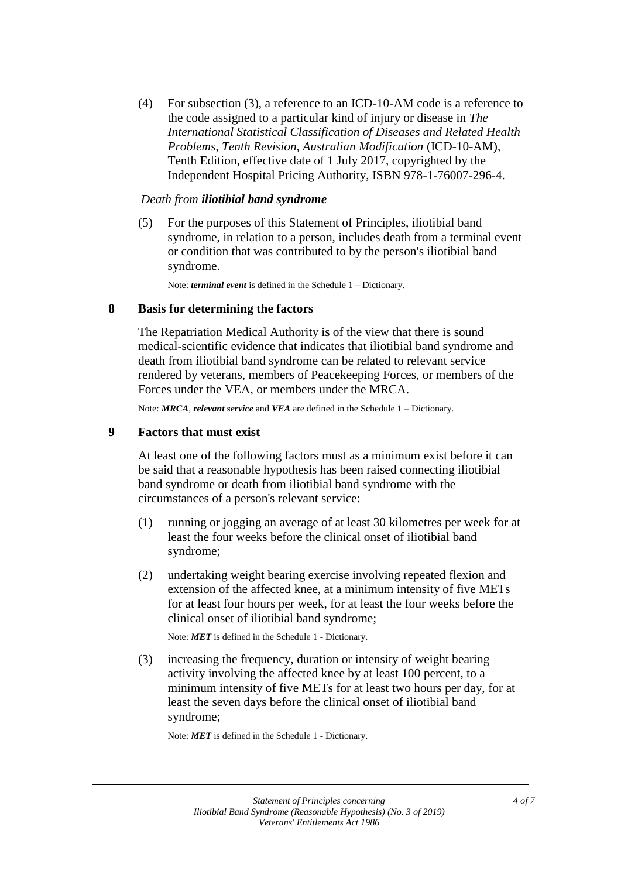(4) For subsection (3), a reference to an ICD-10-AM code is a reference to the code assigned to a particular kind of injury or disease in *The International Statistical Classification of Diseases and Related Health Problems, Tenth Revision, Australian Modification* (ICD-10-AM), Tenth Edition, effective date of 1 July 2017, copyrighted by the Independent Hospital Pricing Authority, ISBN 978-1-76007-296-4.

#### *Death from iliotibial band syndrome*

(5) For the purposes of this Statement of Principles, iliotibial band syndrome, in relation to a person, includes death from a terminal event or condition that was contributed to by the person's iliotibial band syndrome.

Note: *terminal event* is defined in the Schedule 1 – Dictionary.

#### **8 Basis for determining the factors**

The Repatriation Medical Authority is of the view that there is sound medical-scientific evidence that indicates that iliotibial band syndrome and death from iliotibial band syndrome can be related to relevant service rendered by veterans, members of Peacekeeping Forces, or members of the Forces under the VEA, or members under the MRCA.

Note: *MRCA*, *relevant service* and *VEA* are defined in the Schedule 1 – Dictionary.

#### **9 Factors that must exist**

At least one of the following factors must as a minimum exist before it can be said that a reasonable hypothesis has been raised connecting iliotibial band syndrome or death from iliotibial band syndrome with the circumstances of a person's relevant service:

- (1) running or jogging an average of at least 30 kilometres per week for at least the four weeks before the clinical onset of iliotibial band syndrome;
- (2) undertaking weight bearing exercise involving repeated flexion and extension of the affected knee, at a minimum intensity of five METs for at least four hours per week, for at least the four weeks before the clinical onset of iliotibial band syndrome;

Note: *MET* is defined in the Schedule 1 - Dictionary.

(3) increasing the frequency, duration or intensity of weight bearing activity involving the affected knee by at least 100 percent, to a minimum intensity of five METs for at least two hours per day, for at least the seven days before the clinical onset of iliotibial band syndrome;

Note: *MET* is defined in the Schedule 1 - Dictionary.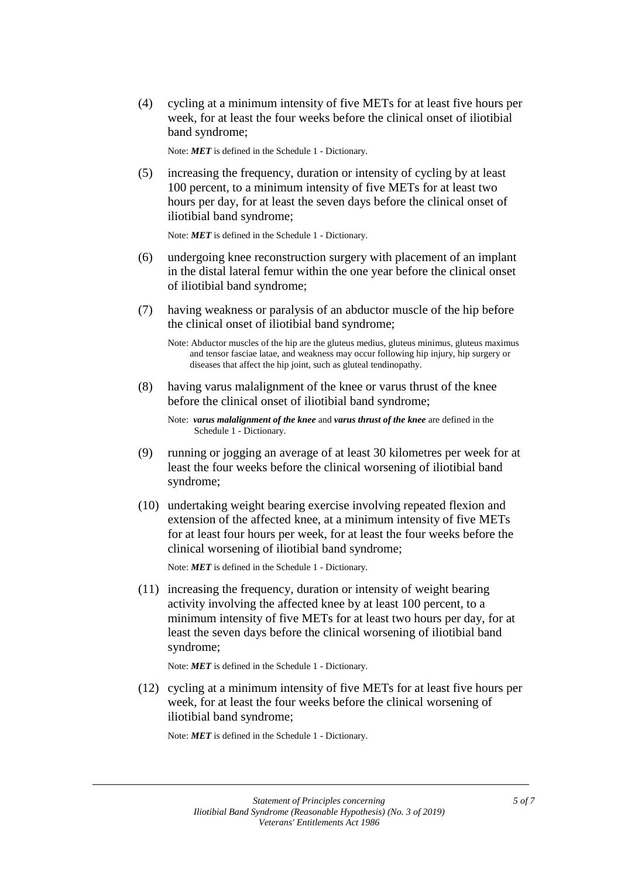(4) cycling at a minimum intensity of five METs for at least five hours per week, for at least the four weeks before the clinical onset of iliotibial band syndrome;

Note: *MET* is defined in the Schedule 1 - Dictionary.

(5) increasing the frequency, duration or intensity of cycling by at least 100 percent, to a minimum intensity of five METs for at least two hours per day, for at least the seven days before the clinical onset of iliotibial band syndrome;

Note: *MET* is defined in the Schedule 1 - Dictionary.

- (6) undergoing knee reconstruction surgery with placement of an implant in the distal lateral femur within the one year before the clinical onset of iliotibial band syndrome;
- (7) having weakness or paralysis of an abductor muscle of the hip before the clinical onset of iliotibial band syndrome;

(8) having varus malalignment of the knee or varus thrust of the knee before the clinical onset of iliotibial band syndrome;

Note: *varus malalignment of the knee* and *varus thrust of the knee* are defined in the Schedule 1 - Dictionary.

- (9) running or jogging an average of at least 30 kilometres per week for at least the four weeks before the clinical worsening of iliotibial band syndrome;
- (10) undertaking weight bearing exercise involving repeated flexion and extension of the affected knee, at a minimum intensity of five METs for at least four hours per week, for at least the four weeks before the clinical worsening of iliotibial band syndrome;

Note: *MET* is defined in the Schedule 1 - Dictionary.

(11) increasing the frequency, duration or intensity of weight bearing activity involving the affected knee by at least 100 percent, to a minimum intensity of five METs for at least two hours per day, for at least the seven days before the clinical worsening of iliotibial band syndrome;

Note: *MET* is defined in the Schedule 1 - Dictionary.

(12) cycling at a minimum intensity of five METs for at least five hours per week, for at least the four weeks before the clinical worsening of iliotibial band syndrome;

Note: *MET* is defined in the Schedule 1 - Dictionary.

Note: Abductor muscles of the hip are the gluteus medius, gluteus minimus, gluteus maximus and tensor fasciae latae, and weakness may occur following hip injury, hip surgery or diseases that affect the hip joint, such as gluteal tendinopathy.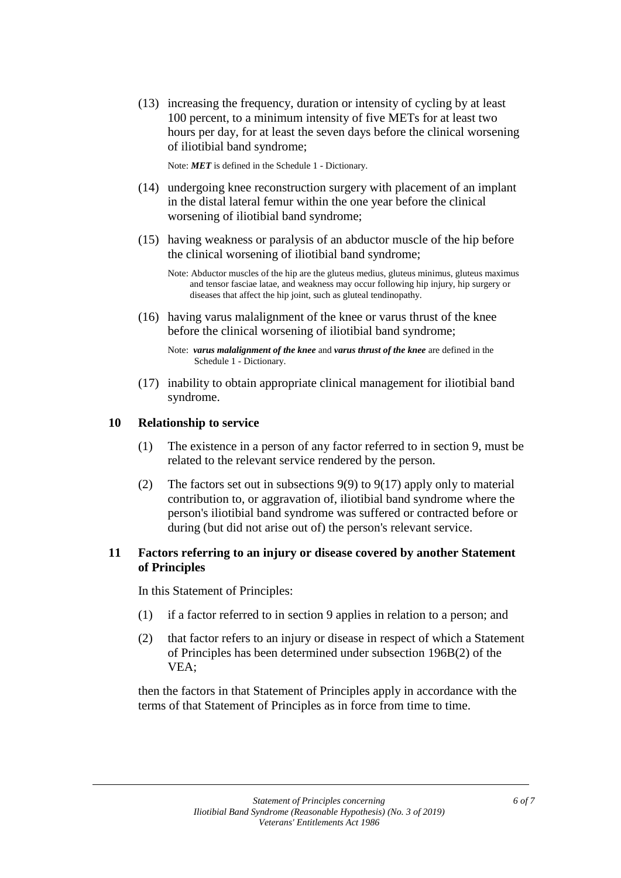(13) increasing the frequency, duration or intensity of cycling by at least 100 percent, to a minimum intensity of five METs for at least two hours per day, for at least the seven days before the clinical worsening of iliotibial band syndrome;

Note: *MET* is defined in the Schedule 1 - Dictionary.

- (14) undergoing knee reconstruction surgery with placement of an implant in the distal lateral femur within the one year before the clinical worsening of iliotibial band syndrome;
- (15) having weakness or paralysis of an abductor muscle of the hip before the clinical worsening of iliotibial band syndrome;

(16) having varus malalignment of the knee or varus thrust of the knee before the clinical worsening of iliotibial band syndrome;

Note: *varus malalignment of the knee* and *varus thrust of the knee* are defined in the Schedule 1 - Dictionary.

(17) inability to obtain appropriate clinical management for iliotibial band syndrome.

#### **10 Relationship to service**

- (1) The existence in a person of any factor referred to in section 9, must be related to the relevant service rendered by the person.
- (2) The factors set out in subsections 9(9) to 9(17) apply only to material contribution to, or aggravation of, iliotibial band syndrome where the person's iliotibial band syndrome was suffered or contracted before or during (but did not arise out of) the person's relevant service.

#### **11 Factors referring to an injury or disease covered by another Statement of Principles**

In this Statement of Principles:

- (1) if a factor referred to in section 9 applies in relation to a person; and
- (2) that factor refers to an injury or disease in respect of which a Statement of Principles has been determined under subsection 196B(2) of the VEA;

then the factors in that Statement of Principles apply in accordance with the terms of that Statement of Principles as in force from time to time.

Note: Abductor muscles of the hip are the gluteus medius, gluteus minimus, gluteus maximus and tensor fasciae latae, and weakness may occur following hip injury, hip surgery or diseases that affect the hip joint, such as gluteal tendinopathy.